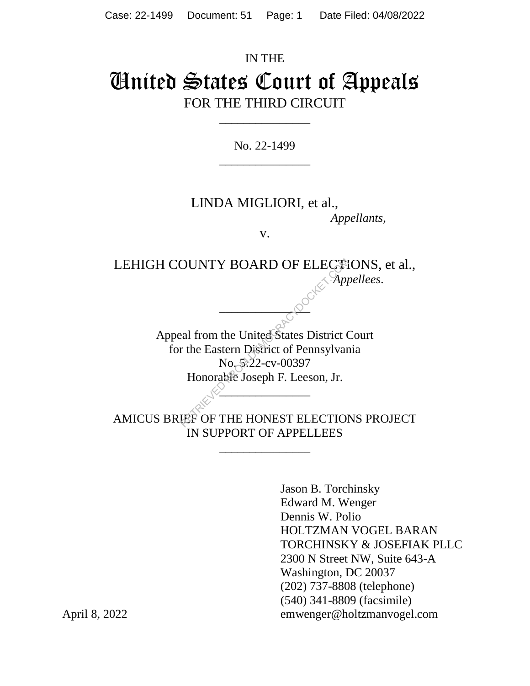# IN THE United States Court of Appeals FOR THE THIRD CIRCUIT

No. 22-1499 \_\_\_\_\_\_\_\_\_\_\_\_\_\_\_

\_\_\_\_\_\_\_\_\_\_\_\_\_\_\_

### LINDA MIGLIORI, et al., *Appellants*,

v.

LEHIGH COUNTY BOARD OF ELECTIONS, et al., *Appellees*.

 $\sim$ 

Appeal from the United States District Court for the Eastern District of Pennsylvania No. 5:22-cv-00397 Honorable Joseph F. Leeson, Jr.  $\frac{1}{2}$ OUNTY BOARD OF ELECTION<br>
eal from the United States District C<br>
r the Eastern District of Pennsylvar<br>
No St22-cv-00397<br>
Honorable Joseph F. Leeson, Jr.

AMICUS BRIEF OF THE HONEST ELECTIONS PROJECT IN SUPPORT OF APPELLEES

\_\_\_\_\_\_\_\_\_\_\_\_\_\_\_

Jason B. Torchinsky Edward M. Wenger Dennis W. Polio HOLTZMAN VOGEL BARAN TORCHINSKY & JOSEFIAK PLLC 2300 N Street NW, Suite 643-A Washington, DC 20037 (202) 737-8808 (telephone) (540) 341-8809 (facsimile) April 8, 2022 emwenger@holtzmanvogel.com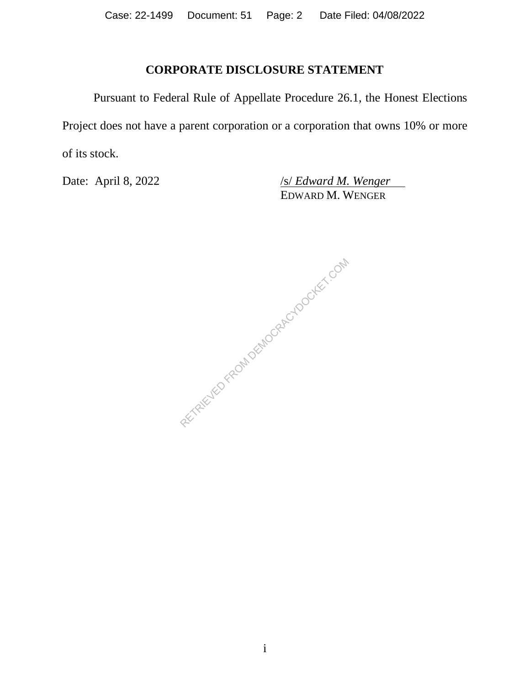### **CORPORATE DISCLOSURE STATEMENT**

Pursuant to Federal Rule of Appellate Procedure 26.1, the Honest Elections Project does not have a parent corporation or a corporation that owns 10% or more of its stock.

Date: April 8, 2022 */s/ <i>Edward M. Wenger* EDWARD M. WENGER

RETRIEVED FROM DEMOCRACYDOCKET.COM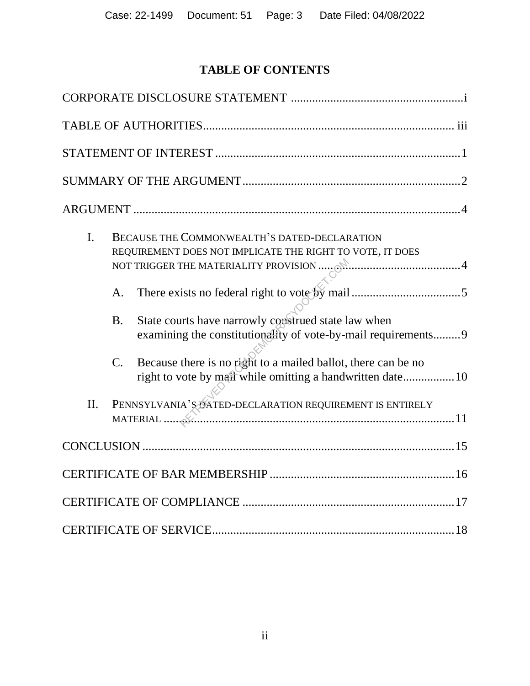# **TABLE OF CONTENTS**

| I.  |                | BECAUSE THE COMMONWEALTH'S DATED-DECLARATION<br>REQUIREMENT DOES NOT IMPLICATE THE RIGHT TO VOTE, IT DOES                   |
|-----|----------------|-----------------------------------------------------------------------------------------------------------------------------|
|     | A.             |                                                                                                                             |
|     | B <sub>1</sub> | State courts have narrowly construed state law when<br>examining the constitutionality of vote-by-mail requirements 9       |
|     | $C_{\cdot}$    | Because there is no right to a mailed ballot, there can be no<br>right to vote by mail while omitting a handwritten date 10 |
| II. |                | PENNSYLVANIA'S NATED-DECLARATION REQUIREMENT IS ENTIRELY                                                                    |
|     |                |                                                                                                                             |
|     |                |                                                                                                                             |
|     |                |                                                                                                                             |
|     |                |                                                                                                                             |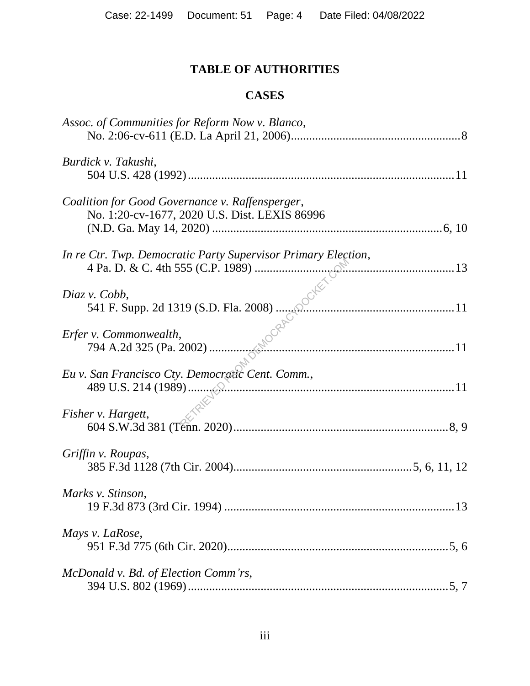# **TABLE OF AUTHORITIES**

### **CASES**

| Assoc. of Communities for Reform Now v. Blanco,                             |  |
|-----------------------------------------------------------------------------|--|
|                                                                             |  |
| Burdick v. Takushi,                                                         |  |
|                                                                             |  |
| Coalition for Good Governance v. Raffensperger,                             |  |
| No. 1:20-cv-1677, 2020 U.S. Dist. LEXIS 86996                               |  |
|                                                                             |  |
| In re Ctr. Twp. Democratic Party Supervisor Primary Election,               |  |
| $\mathbb{R}$ <sup>N</sup> 3                                                 |  |
|                                                                             |  |
| Diaz v. Cobb,                                                               |  |
| $541$ F. Supp. 2d 1319 (S.D. Fla. 2008) $\frac{13}{25}$<br>v. Commonwealth. |  |
|                                                                             |  |
| Erfer v. Commonwealth,                                                      |  |
|                                                                             |  |
| Eu v. San Francisco Cty. Democratic Cent. Comm.,                            |  |
|                                                                             |  |
|                                                                             |  |
| Fisher v. Hargett,                                                          |  |
|                                                                             |  |
|                                                                             |  |
| Griffin v. Roupas,                                                          |  |
|                                                                             |  |
| Marks v. Stinson,                                                           |  |
|                                                                             |  |
|                                                                             |  |
| Mays v. LaRose,                                                             |  |
|                                                                             |  |
|                                                                             |  |
| McDonald v. Bd. of Election Comm'rs,                                        |  |
|                                                                             |  |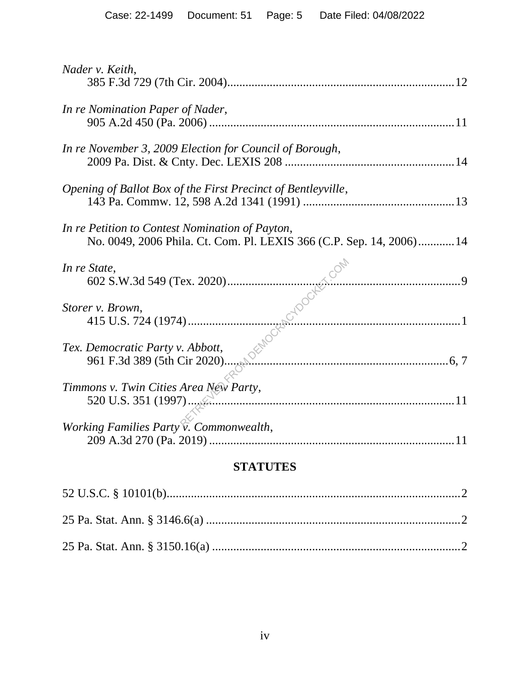| Nader v. Keith,                                                                                                         |
|-------------------------------------------------------------------------------------------------------------------------|
| In re Nomination Paper of Nader,                                                                                        |
| In re November 3, 2009 Election for Council of Borough,                                                                 |
| Opening of Ballot Box of the First Precinct of Bentleyville,                                                            |
| In re Petition to Contest Nomination of Payton,<br>No. 0049, 2006 Phila. Ct. Com. Pl. LEXIS 366 (C.P. Sep. 14, 2006) 14 |
| In re State,                                                                                                            |
| Storer v. Brown,                                                                                                        |
| Tex. Democratic Party v. Abbott,                                                                                        |
| Timmons v. Twin Cities Area New Party,                                                                                  |
| Working Families Party v. Commonwealth,                                                                                 |
|                                                                                                                         |

### **STATUTES**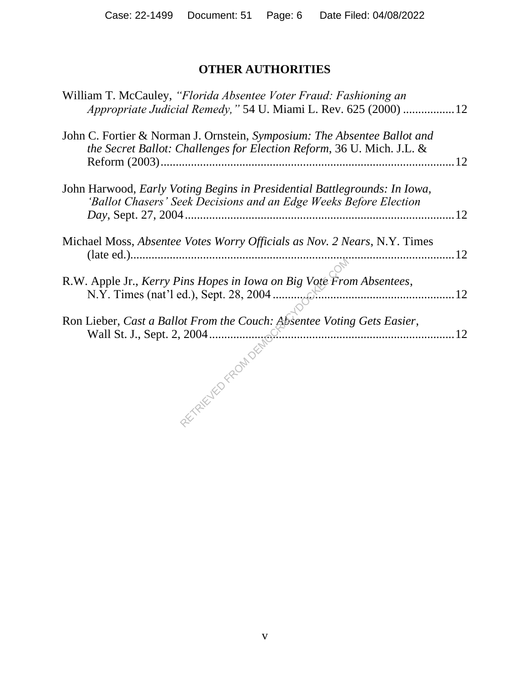# **OTHER AUTHORITIES**

| William T. McCauley, "Florida Absentee Voter Fraud: Fashioning an<br>Appropriate Judicial Remedy," 54 U. Miami L. Rev. 625 (2000) 12              |     |
|---------------------------------------------------------------------------------------------------------------------------------------------------|-----|
| John C. Fortier & Norman J. Ornstein, Symposium: The Absentee Ballot and<br>the Secret Ballot: Challenges for Election Reform, 36 U. Mich. J.L. & | .12 |
| John Harwood, Early Voting Begins in Presidential Battlegrounds: In Iowa,<br>'Ballot Chasers' Seek Decisions and an Edge Weeks Before Election    |     |
| Michael Moss, <i>Absentee Votes Worry Officials as Nov. 2 Nears</i> , N.Y. Times                                                                  |     |
| R.W. Apple Jr., Kerry Pins Hopes in Iowa on Big Vote From Absentees,                                                                              |     |
| Ron Lieber, Cast a Ballot From the Couch: Absentee Voting Gets Easier,                                                                            |     |
| Wall St. J., Sept. 2, 2004                                                                                                                        |     |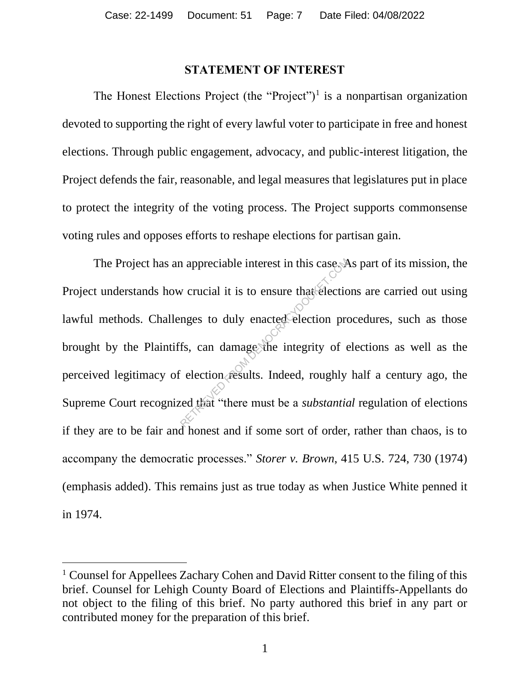#### **STATEMENT OF INTEREST**

The Honest Elections Project (the "Project")<sup>1</sup> is a nonpartisan organization devoted to supporting the right of every lawful voter to participate in free and honest elections. Through public engagement, advocacy, and public-interest litigation, the Project defends the fair, reasonable, and legal measures that legislatures put in place to protect the integrity of the voting process. The Project supports commonsense voting rules and opposes efforts to reshape elections for partisan gain.

The Project has an appreciable interest in this case. As part of its mission, the Project understands how crucial it is to ensure that elections are carried out using lawful methods. Challenges to duly enacted election procedures, such as those brought by the Plaintiffs, can damage the integrity of elections as well as the perceived legitimacy of election results. Indeed, roughly half a century ago, the Supreme Court recognized that "there must be a *substantial* regulation of elections if they are to be fair and honest and if some sort of order, rather than chaos, is to accompany the democratic processes." *Storer v. Brown*, 415 U.S. 724, 730 (1974) (emphasis added). This remains just as true today as when Justice White penned it in 1974. repreciable interest in this case.<br>
We crucial it is to ensure that electic<br>
mges to duly enacted election profits,<br>
fs, can damage the integrity of e<br>
dection results. Indeed, roughly<br>
ed that "there must be a *substantic* 

<sup>&</sup>lt;sup>1</sup> Counsel for Appellees Zachary Cohen and David Ritter consent to the filing of this brief. Counsel for Lehigh County Board of Elections and Plaintiffs-Appellants do not object to the filing of this brief. No party authored this brief in any part or contributed money for the preparation of this brief.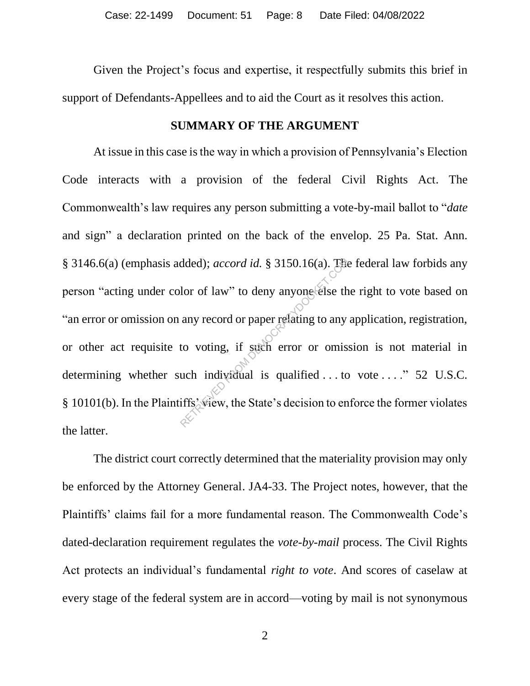Given the Project's focus and expertise, it respectfully submits this brief in support of Defendants-Appellees and to aid the Court as it resolves this action.

#### **SUMMARY OF THE ARGUMENT**

At issue in this case is the way in which a provision of Pennsylvania's Election Code interacts with a provision of the federal Civil Rights Act. The Commonwealth's law requires any person submitting a vote-by-mail ballot to "*date* and sign" a declaration printed on the back of the envelop. 25 Pa. Stat. Ann. § 3146.6(a) (emphasis added); *accord id.* § 3150.16(a). The federal law forbids any person "acting under color of law" to deny anyone else the right to vote based on "an error or omission on any record or paper relating to any application, registration, or other act requisite to voting, if such error or omission is not material in determining whether such individual is qualified ... to vote ...." 52 U.S.C. § 10101(b). In the Plaintiffs' view, the State's decision to enforce the former violates the latter. dded); *accord id.* § 3150.16(a). The<br>lor of law" to deny anyone else th<br>any record or paper relating to any<br>to voting, if such error or omiss<br>uch individual is qualified ... to<br>iffs wiew, the State's decision to en

The district court correctly determined that the materiality provision may only be enforced by the Attorney General. JA4-33. The Project notes, however, that the Plaintiffs' claims fail for a more fundamental reason. The Commonwealth Code's dated-declaration requirement regulates the *vote-by-mail* process. The Civil Rights Act protects an individual's fundamental *right to vote*. And scores of caselaw at every stage of the federal system are in accord—voting by mail is not synonymous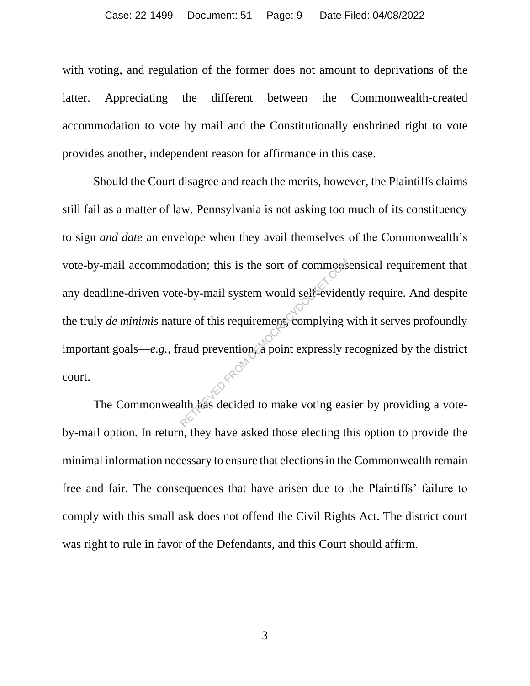with voting, and regulation of the former does not amount to deprivations of the latter. Appreciating the different between the Commonwealth-created accommodation to vote by mail and the Constitutionally enshrined right to vote provides another, independent reason for affirmance in this case.

Should the Court disagree and reach the merits, however, the Plaintiffs claims still fail as a matter of law. Pennsylvania is not asking too much of its constituency to sign *and date* an envelope when they avail themselves of the Commonwealth's vote-by-mail accommodation; this is the sort of commonsensical requirement that any deadline-driven vote-by-mail system would self-evidently require. And despite the truly *de minimis* nature of this requirement, complying with it serves profoundly important goals—*e.g.*, fraud prevention, a point expressly recognized by the district court. ation; this is the sort of commons<br>e-by-mail system would self-evider<br>ure of this requirement, complying v<br>caud prevention a point expressly r<br>lth has decided to make voting eas

The Commonwealth has decided to make voting easier by providing a voteby-mail option. In return, they have asked those electing this option to provide the minimal information necessary to ensure that elections in the Commonwealth remain free and fair. The consequences that have arisen due to the Plaintiffs' failure to comply with this small ask does not offend the Civil Rights Act. The district court was right to rule in favor of the Defendants, and this Court should affirm.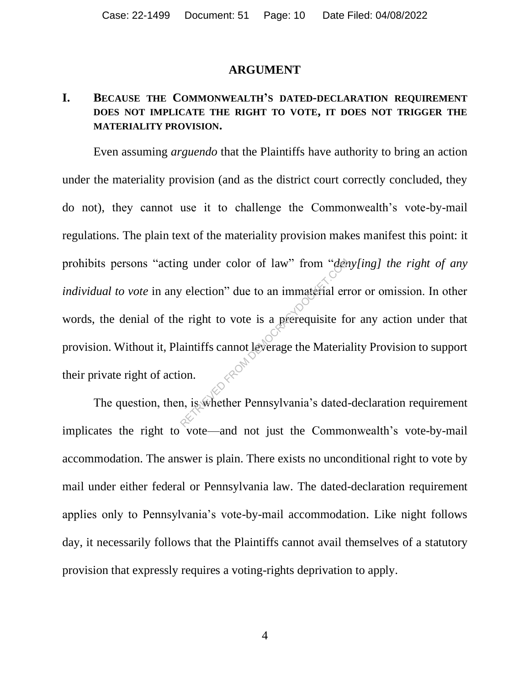#### **ARGUMENT**

### **I. BECAUSE THE COMMONWEALTH'S DATED-DECLARATION REQUIREMENT DOES NOT IMPLICATE THE RIGHT TO VOTE, IT DOES NOT TRIGGER THE MATERIALITY PROVISION.**

Even assuming *arguendo* that the Plaintiffs have authority to bring an action under the materiality provision (and as the district court correctly concluded, they do not), they cannot use it to challenge the Commonwealth's vote-by-mail regulations. The plain text of the materiality provision makes manifest this point: it prohibits persons "acting under color of law" from "*deny[ing] the right of any individual to vote* in any election" due to an immaterial error or omission. In other words, the denial of the right to vote is a prerequisite for any action under that provision. Without it, Plaintiffs cannot leverage the Materiality Provision to support their private right of action. relection" due to an immaterial error election" due to an immaterial error election" due to an immaterial error election en election due to an immaterial error election due to an immaterial error election due to an immater

The question, then, is whether Pennsylvania's dated-declaration requirement implicates the right to vote—and not just the Commonwealth's vote-by-mail accommodation. The answer is plain. There exists no unconditional right to vote by mail under either federal or Pennsylvania law. The dated-declaration requirement applies only to Pennsylvania's vote-by-mail accommodation. Like night follows day, it necessarily follows that the Plaintiffs cannot avail themselves of a statutory provision that expressly requires a voting-rights deprivation to apply.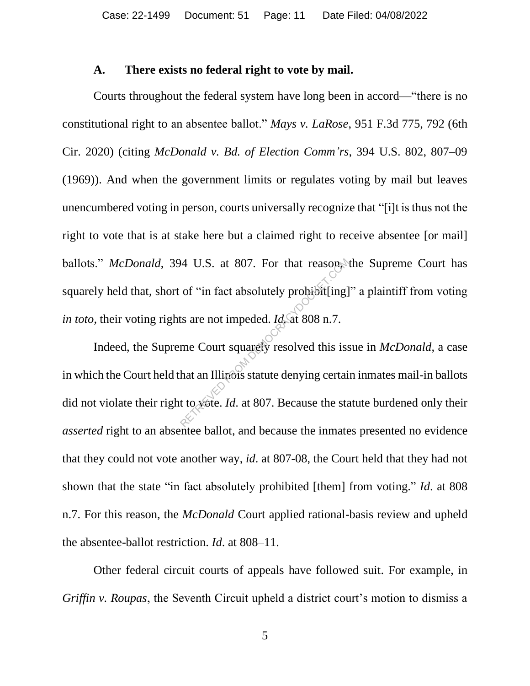#### **A. There exists no federal right to vote by mail.**

Courts throughout the federal system have long been in accord—"there is no constitutional right to an absentee ballot." *Mays v. LaRose*, 951 F.3d 775, 792 (6th Cir. 2020) (citing *McDonald v. Bd. of Election Comm'rs*, 394 U.S. 802, 807–09 (1969)). And when the government limits or regulates voting by mail but leaves unencumbered voting in person, courts universally recognize that "[i]t is thus not the right to vote that is at stake here but a claimed right to receive absentee [or mail] ballots." *McDonald*, 394 U.S. at 807. For that reason, the Supreme Court has squarely held that, short of "in fact absolutely prohibit[ing]" a plaintiff from voting *in toto*, their voting rights are not impeded. *Id.* at 808 n.7.

Indeed, the Supreme Court squarely resolved this issue in *McDonald*, a case in which the Court held that an Illinois statute denying certain inmates mail-in ballots did not violate their right to vote. *Id*. at 807. Because the statute burdened only their *asserted* right to an absentee ballot, and because the inmates presented no evidence that they could not vote another way, *id*. at 807-08, the Court held that they had not shown that the state "in fact absolutely prohibited [them] from voting." *Id*. at 808 n.7. For this reason, the *McDonald* Court applied rational-basis review and upheld the absentee-ballot restriction. *Id*. at 808–11. 14 U.S. at 807. For that reasons of "in fact absolutely probibit[ing]<br>ts are not impeded.  $Id$  at 808 n.7.<br>me Court squarely resolved this iss<br>hat an Illinois statute denying certaint to yote.  $Id$ . at 807. Because the stat

Other federal circuit courts of appeals have followed suit. For example, in *Griffin v. Roupas*, the Seventh Circuit upheld a district court's motion to dismiss a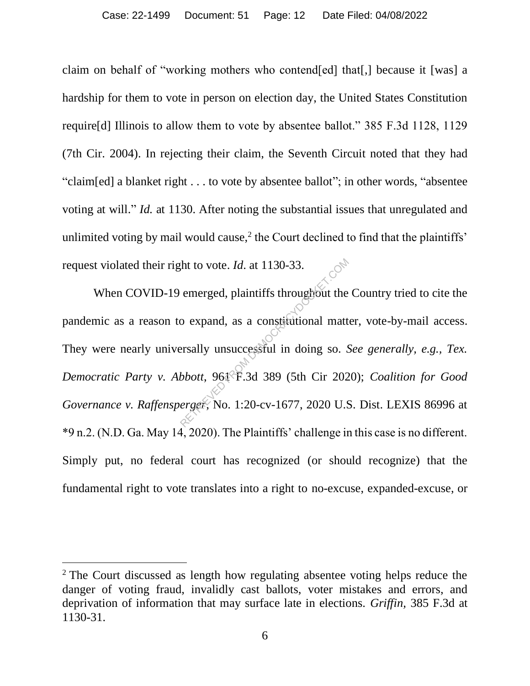claim on behalf of "working mothers who contend[ed] that[,] because it [was] a hardship for them to vote in person on election day, the United States Constitution require[d] Illinois to allow them to vote by absentee ballot." 385 F.3d 1128, 1129 (7th Cir. 2004). In rejecting their claim, the Seventh Circuit noted that they had "claim[ed] a blanket right . . . to vote by absentee ballot"; in other words, "absentee voting at will." *Id.* at 1130. After noting the substantial issues that unregulated and unlimited voting by mail would cause, $2$  the Court declined to find that the plaintiffs' request violated their right to vote. *Id*. at 1130-33.

When COVID-19 emerged, plaintiffs throughout the Country tried to cite the pandemic as a reason to expand, as a constitutional matter, vote-by-mail access. They were nearly universally unsuccessful in doing so. *See generally, e.g., Tex. Democratic Party v. Abbott*, 961 F.3d 389 (5th Cir 2020); *Coalition for Good Governance v. Raffensperger*, No. 1:20-cv-1677, 2020 U.S. Dist. LEXIS 86996 at \*9 n.2. (N.D. Ga. May 14, 2020). The Plaintiffs' challenge in this case is no different. Simply put, no federal court has recognized (or should recognize) that the fundamental right to vote translates into a right to no-excuse, expanded-excuse, or At to vote. *Id.* at 1130-33.<br>
emerged, plaintiffs throughout the<br>
o expand, as a constitutional matt<br>
ersally unsuccessful in doing so. S<br>
bbott, 961 F.3d 389 (5th Cir 202<br>
erger, No. 1:20-cv-1677, 2020 U.S

<sup>&</sup>lt;sup>2</sup> The Court discussed as length how regulating absentee voting helps reduce the danger of voting fraud, invalidly cast ballots, voter mistakes and errors, and deprivation of information that may surface late in elections. *Griffin,* 385 F.3d at 1130-31.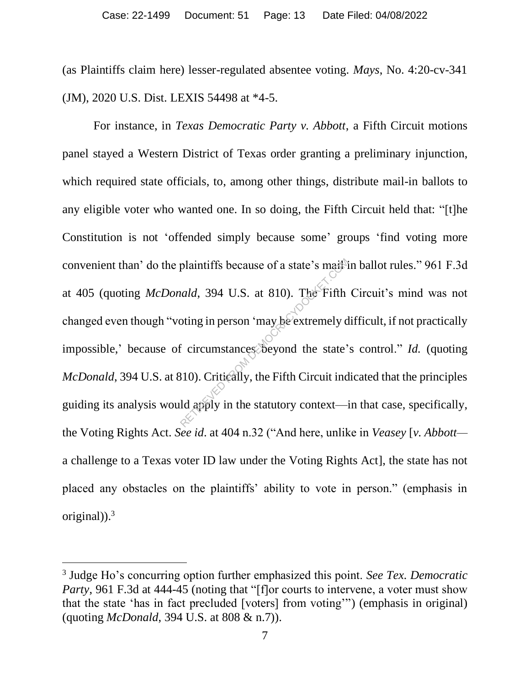(as Plaintiffs claim here) lesser-regulated absentee voting. *Mays*, No. 4:20-cv-341 (JM), 2020 U.S. Dist. LEXIS 54498 at \*4-5.

For instance, in *Texas Democratic Party v. Abbott*, a Fifth Circuit motions panel stayed a Western District of Texas order granting a preliminary injunction, which required state officials, to, among other things, distribute mail-in ballots to any eligible voter who wanted one. In so doing, the Fifth Circuit held that: "[t]he Constitution is not 'offended simply because some' groups 'find voting more convenient than' do the plaintiffs because of a state's mail in ballot rules." 961 F.3d at 405 (quoting *McDonald*, 394 U.S. at 810). The Fifth Circuit's mind was not changed even though "voting in person 'may be extremely difficult, if not practically impossible,' because of circumstances beyond the state's control." *Id.* (quoting *McDonald*, 394 U.S. at 810). Critically, the Fifth Circuit indicated that the principles guiding its analysis would apply in the statutory context—in that case, specifically, the Voting Rights Act. *See id*. at 404 n.32 ("And here, unlike in *Veasey* [*v. Abbott* a challenge to a Texas voter ID law under the Voting Rights Act], the state has not placed any obstacles on the plaintiffs' ability to vote in person." (emphasis in original)).<sup>3</sup> plaintiffs because of a state's mail-<br>
retardary and the Fifth<br>
position of may be extremely democracy of circumstances beyond the state<br>
Retardary Context<br>
Retardary context<br>
Retardary context<br>
Retardary context<br>
Retardar

<sup>3</sup> Judge Ho's concurring option further emphasized this point. *See Tex. Democratic Party*, 961 F.3d at 444-45 (noting that "[f]or courts to intervene, a voter must show that the state 'has in fact precluded [voters] from voting'") (emphasis in original) (quoting *McDonald*, 394 U.S. at 808 & n.7)).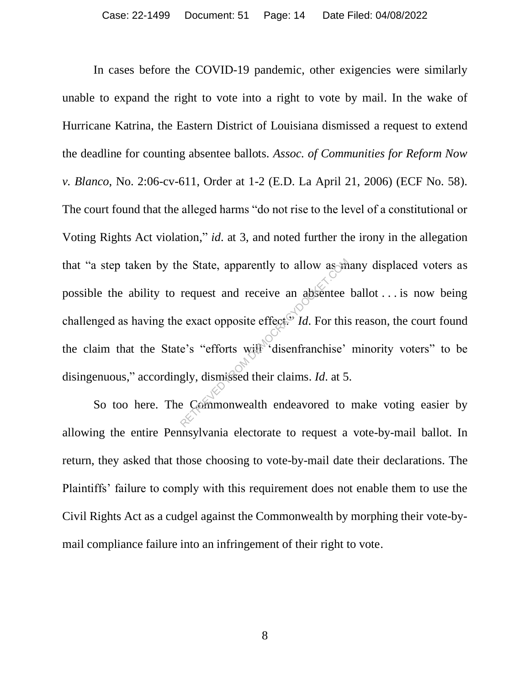In cases before the COVID-19 pandemic, other exigencies were similarly unable to expand the right to vote into a right to vote by mail. In the wake of Hurricane Katrina, the Eastern District of Louisiana dismissed a request to extend the deadline for counting absentee ballots. *Assoc. of Communities for Reform Now v. Blanco*, No. 2:06-cv-611, Order at 1-2 (E.D. La April 21, 2006) (ECF No. 58). The court found that the alleged harms "do not rise to the level of a constitutional or Voting Rights Act violation," *id*. at 3, and noted further the irony in the allegation that "a step taken by the State, apparently to allow as many displaced voters as possible the ability to request and receive an absentee ballot . . . is now being challenged as having the exact opposite effect<sup>or</sup> *Id*. For this reason, the court found the claim that the State's "efforts will 'disenfranchise' minority voters" to be disingenuous," accordingly, dismissed their claims. *Id*. at 5. Request and receive an absentee<br>request and receive an absentee<br>e exact opposite effect<sup>or</sup> *Id*. For this<br>e's "efforts with disenfranchise"<br>gly, dismissed their claims. *Id.* at 5<br>e Commonwealth endeavored to

So too here. The Commonwealth endeavored to make voting easier by allowing the entire Pennsylvania electorate to request a vote-by-mail ballot. In return, they asked that those choosing to vote-by-mail date their declarations. The Plaintiffs' failure to comply with this requirement does not enable them to use the Civil Rights Act as a cudgel against the Commonwealth by morphing their vote-bymail compliance failure into an infringement of their right to vote.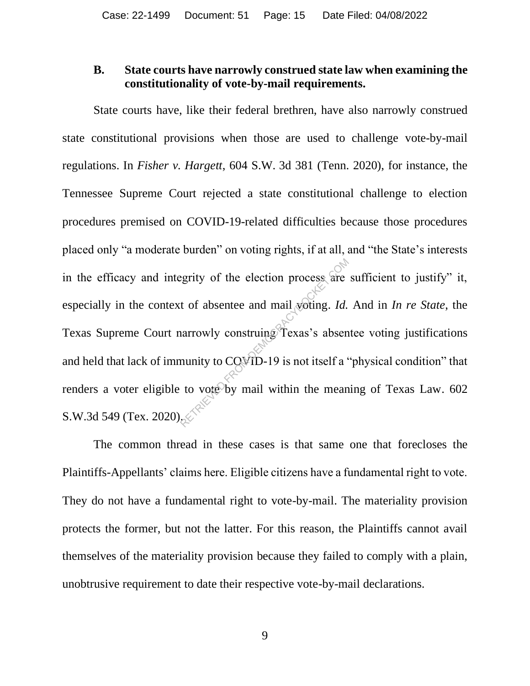### **B. State courts have narrowly construed state law when examining the constitutionality of vote-by-mail requirements.**

State courts have, like their federal brethren, have also narrowly construed state constitutional provisions when those are used to challenge vote-by-mail regulations. In *Fisher v. Hargett*, 604 S.W. 3d 381 (Tenn. 2020), for instance, the Tennessee Supreme Court rejected a state constitutional challenge to election procedures premised on COVID-19-related difficulties because those procedures placed only "a moderate burden" on voting rights, if at all, and "the State's interests in the efficacy and integrity of the election process are sufficient to justify" it, especially in the context of absentee and mail voting. *Id.* And in *In re State*, the Texas Supreme Court narrowly construing Texas's absentee voting justifications and held that lack of immunity to COVID-19 is not itself a "physical condition" that renders a voter eligible to vote by mail within the meaning of Texas Law. 602 S.W.3d 549 (Tex. 2020). Example 1 of the election process are<br>t of absentee and mail voting. Id.<br>narrowly construing Texas's absent<br>nunity to COVID-19 is not itself a '<br>to vote by mail within the mean

The common thread in these cases is that same one that forecloses the Plaintiffs-Appellants' claims here. Eligible citizens have a fundamental right to vote. They do not have a fundamental right to vote-by-mail. The materiality provision protects the former, but not the latter. For this reason, the Plaintiffs cannot avail themselves of the materiality provision because they failed to comply with a plain, unobtrusive requirement to date their respective vote-by-mail declarations.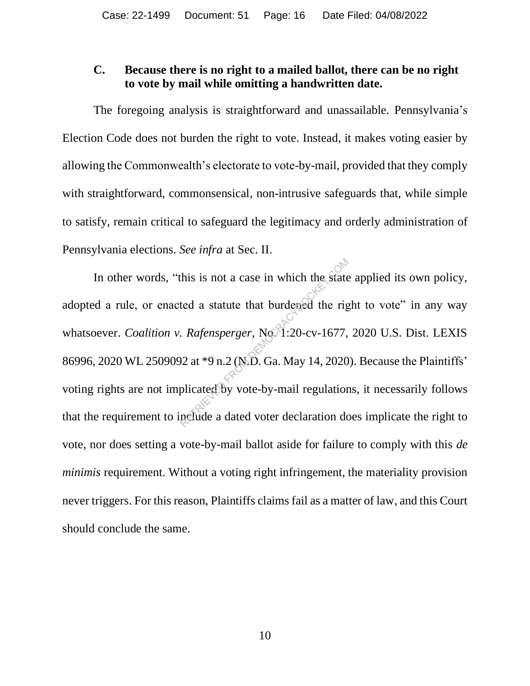### **C. Because there is no right to a mailed ballot, there can be no right to vote by mail while omitting a handwritten date.**

The foregoing analysis is straightforward and unassailable. Pennsylvania's Election Code does not burden the right to vote. Instead, it makes voting easier by allowing the Commonwealth's electorate to vote-by-mail, provided that they comply with straightforward, commonsensical, non-intrusive safeguards that, while simple to satisfy, remain critical to safeguard the legitimacy and orderly administration of Pennsylvania elections. *See infra* at Sec. II.

In other words, "this is not a case in which the state applied its own policy, adopted a rule, or enacted a statute that burdened the right to vote" in any way whatsoever. *Coalition v. Rafensperger*, No. 1:20-cv-1677, 2020 U.S. Dist. LEXIS 86996, 2020 WL 2509092 at \*9 n.2 (N.D. Ga. May 14, 2020). Because the Plaintiffs' voting rights are not implicated by vote-by-mail regulations, it necessarily follows that the requirement to include a dated voter declaration does implicate the right to vote, nor does setting a vote-by-mail ballot aside for failure to comply with this *de minimis* requirement. Without a voting right infringement, the materiality provision never triggers. For this reason, Plaintiffs claims fail as a matter of law, and this Court should conclude the same. this is not a case in which the state<br>ted a statute that burdened the rig<br>Rafensperger, No. 1:20-cv-1677,<br>2 at \*9 n.2 (N.D. Ga. May 14, 2020<br>plicated by vote-by-mail regulation<br>nefude a dated voter declaration do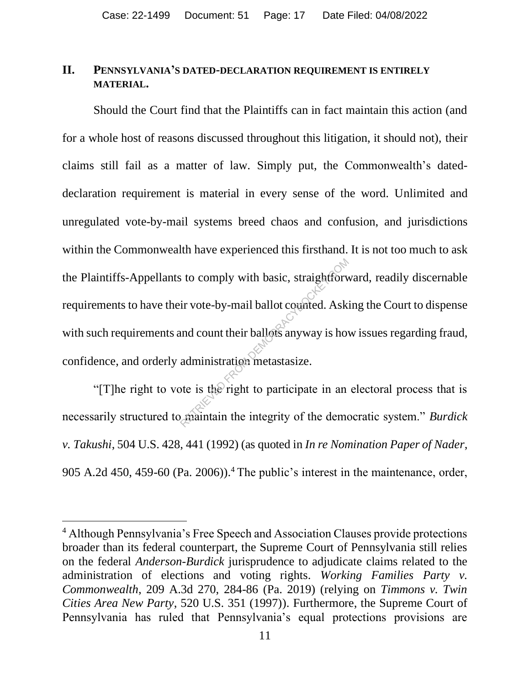### **II. PENNSYLVANIA'S DATED-DECLARATION REQUIREMENT IS ENTIRELY MATERIAL.**

Should the Court find that the Plaintiffs can in fact maintain this action (and for a whole host of reasons discussed throughout this litigation, it should not), their claims still fail as a matter of law. Simply put, the Commonwealth's dateddeclaration requirement is material in every sense of the word. Unlimited and unregulated vote-by-mail systems breed chaos and confusion, and jurisdictions within the Commonwealth have experienced this firsthand. It is not too much to ask the Plaintiffs-Appellants to comply with basic, straightforward, readily discernable requirements to have their vote-by-mail ballot counted. Asking the Court to dispense with such requirements and count their ballots anyway is how issues regarding fraud, confidence, and orderly administration metastasize. to comply with basic, straightform<br>ir vote-by-mail ballot counted. Asking<br>administration metastasize.<br>the is the right to participate in an<br>maintain the integrity of the demo

"[T]he right to vote is the right to participate in an electoral process that is necessarily structured to maintain the integrity of the democratic system." *Burdick v. Takushi*, 504 U.S. 428, 441 (1992) (as quoted in *In re Nomination Paper of Nader*, 905 A.2d 450, 459-60 (Pa. 2006)).<sup>4</sup> The public's interest in the maintenance, order,

<sup>4</sup> Although Pennsylvania's Free Speech and Association Clauses provide protections broader than its federal counterpart, the Supreme Court of Pennsylvania still relies on the federal *Anderson-Burdick* jurisprudence to adjudicate claims related to the administration of elections and voting rights. *Working Families Party v. Commonwealth*, 209 A.3d 270, 284-86 (Pa. 2019) (relying on *Timmons v. Twin Cities Area New Party*, 520 U.S. 351 (1997)). Furthermore, the Supreme Court of Pennsylvania has ruled that Pennsylvania's equal protections provisions are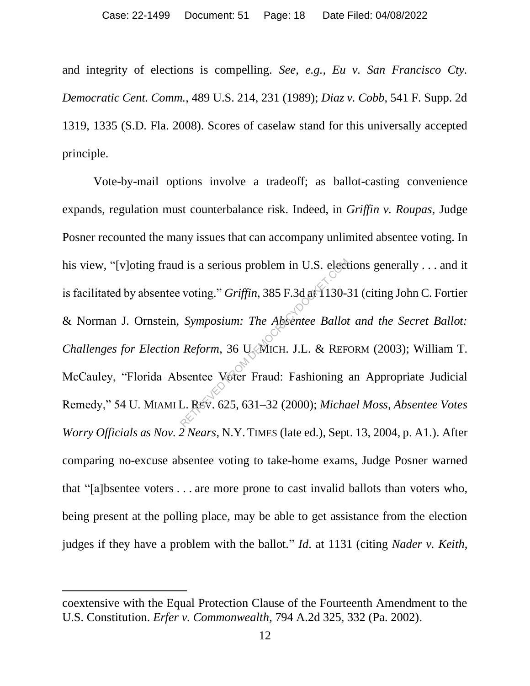and integrity of elections is compelling. *See, e.g., Eu v. San Francisco Cty. Democratic Cent. Comm.*, 489 U.S. 214, 231 (1989); *Diaz v. Cobb*, 541 F. Supp. 2d 1319, 1335 (S.D. Fla. 2008). Scores of caselaw stand for this universally accepted principle.

Vote-by-mail options involve a tradeoff; as ballot-casting convenience expands, regulation must counterbalance risk. Indeed, in *Griffin v. Roupas*, Judge Posner recounted the many issues that can accompany unlimited absentee voting. In his view, "[v]oting fraud is a serious problem in U.S. elections generally . . . and it is facilitated by absentee voting." *Griffin*, 385 F.3d at 1130-31 (citing John C. Fortier & Norman J. Ornstein, *Symposium: The Absentee Ballot and the Secret Ballot: Challenges for Election Reform*, 36 U. MICH. J.L. & REFORM (2003); William T. McCauley, "Florida Absentee Voter Fraud: Fashioning an Appropriate Judicial Remedy," 54 U. MIAMI L. REV. 625, 631–32 (2000); *Michael Moss, Absentee Votes Worry Officials as Nov. 2 Nears*, N.Y. TIMES (late ed.), Sept. 13, 2004, p. A1.). After comparing no-excuse absentee voting to take-home exams, Judge Posner warned that "[a]bsentee voters . . . are more prone to cast invalid ballots than voters who, being present at the polling place, may be able to get assistance from the election judges if they have a problem with the ballot." *Id*. at 1131 (citing *Nader v. Keith*, d is a serious problem in U.S. elect<br>voting." *Griffin*, 385 F.3d at 1130-3<br>*Symposium: The Absentee Ballot*<br>*Reform*, 36 U. MICH. J.L. & REF<br>posentee Voter Fraud: Fashioning<br>L. REV. 625, 631–32 (2000); Micha

coextensive with the Equal Protection Clause of the Fourteenth Amendment to the U.S. Constitution. *Erfer v. Commonwealth*, 794 A.2d 325, 332 (Pa. 2002).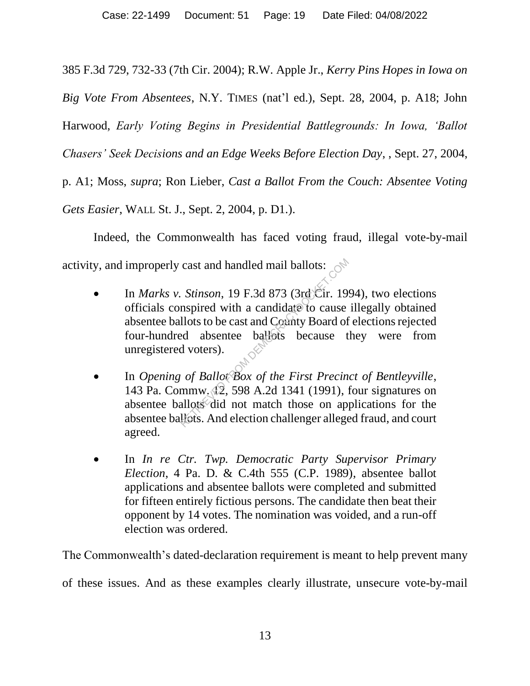385 F.3d 729, 732-33 (7th Cir. 2004); R.W. Apple Jr., *Kerry Pins Hopes in Iowa on* 

*Big Vote From Absentees*, N.Y. TIMES (nat'l ed.), Sept. 28, 2004, p. A18; John

Harwood, *Early Voting Begins in Presidential Battlegrounds: In Iowa, 'Ballot* 

*Chasers' Seek Decisions and an Edge Weeks Before Election Day*, , Sept. 27, 2004,

p. A1; Moss, *supra*; Ron Lieber, *Cast a Ballot From the Couch: Absentee Voting* 

*Gets Easier*, WALL St. J., Sept. 2, 2004, p. D1.).

Indeed, the Commonwealth has faced voting fraud, illegal vote-by-mail activity, and improperly cast and handled mail ballots:

- In *Marks v. Stinson*, 19 F.3d 873 (3rd Cir. 1994), two elections officials conspired with a candidate to cause illegally obtained absentee ballots to be cast and County Board of elections rejected four-hundred absentee ballots because they were from unregistered voters). cast and handled mail ballots:<br>
Stinson, 19 F.3d 873 (3rd Cir. 19<br>
nspired with a candidate to cause<br>
llots to be cast and Coanty Board of<br>
ed absentee ballots because to<br>
d voters).<br>
of Ballot Box of the First Precin<br>
mm
- In *Opening of Ballot Box of the First Precinct of Bentleyville*, 143 Pa. Commw. 12, 598 A.2d 1341 (1991), four signatures on absentee ballots did not match those on applications for the absentee ballots. And election challenger alleged fraud, and court agreed.
- In *In re Ctr. Twp. Democratic Party Supervisor Primary Election*, 4 Pa. D. & C.4th 555 (C.P. 1989), absentee ballot applications and absentee ballots were completed and submitted for fifteen entirely fictious persons. The candidate then beat their opponent by 14 votes. The nomination was voided, and a run-off election was ordered.

The Commonwealth's dated-declaration requirement is meant to help prevent many

of these issues. And as these examples clearly illustrate, unsecure vote-by-mail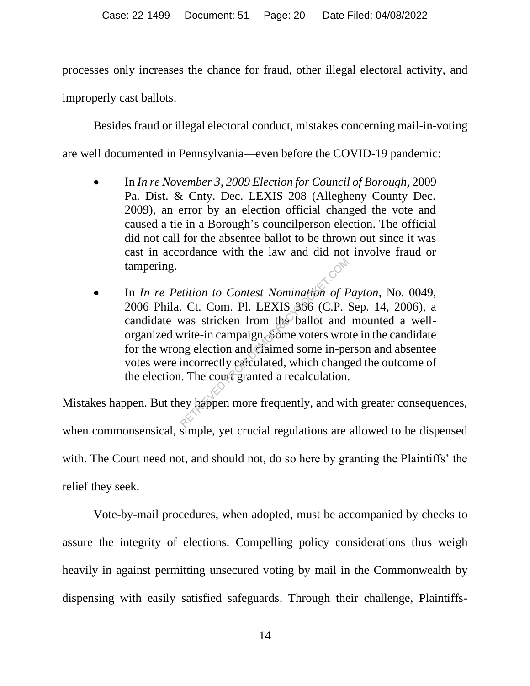processes only increases the chance for fraud, other illegal electoral activity, and improperly cast ballots.

Besides fraud or illegal electoral conduct, mistakes concerning mail-in-voting are well documented in Pennsylvania—even before the COVID-19 pandemic:

- In *In re November 3, 2009 Election for Council of Borough*, 2009 Pa. Dist. & Cnty. Dec. LEXIS 208 (Allegheny County Dec. 2009), an error by an election official changed the vote and caused a tie in a Borough's councilperson election. The official did not call for the absentee ballot to be thrown out since it was cast in accordance with the law and did not involve fraud or tampering.
- In *In re Petition to Contest Nomination of Payton*, No. 0049, 2006 Phila. Ct. Com. Pl. LEXIS 366 (C.P. Sep. 14, 2006), a candidate was stricken from the ballot and mounted a wellorganized write-in campaign. Some voters wrote in the candidate for the wrong election and claimed some in-person and absentee votes were incorrectly calculated, which changed the outcome of the election. The court granted a recalculation. *estition to Contest Nomination of F*<br>Ct. Com. Pl. LEXIS 356 (C.P. 3<br>was stricken from the ballot and<br>write-in campaign. Some voters wro<br>ng election and claimed some in-pe<br>incorrectly calculated, which chang<br>a. The court g

Mistakes happen. But they happen more frequently, and with greater consequences, when commonsensical, simple, yet crucial regulations are allowed to be dispensed with. The Court need not, and should not, do so here by granting the Plaintiffs' the relief they seek.

Vote-by-mail procedures, when adopted, must be accompanied by checks to assure the integrity of elections. Compelling policy considerations thus weigh heavily in against permitting unsecured voting by mail in the Commonwealth by dispensing with easily satisfied safeguards. Through their challenge, Plaintiffs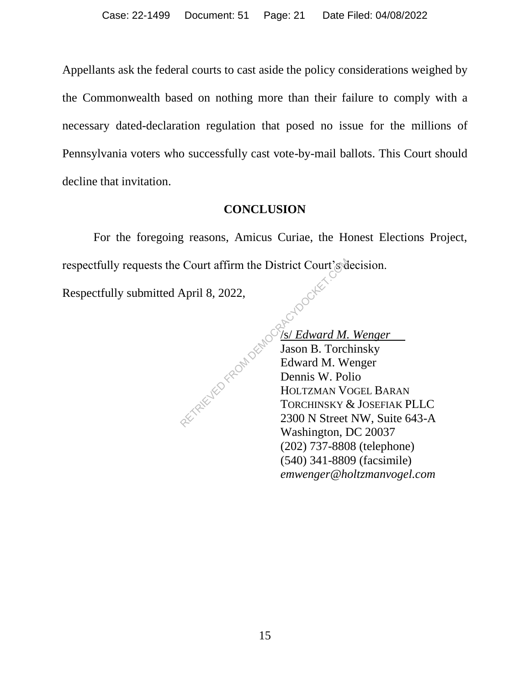Appellants ask the federal courts to cast aside the policy considerations weighed by the Commonwealth based on nothing more than their failure to comply with a necessary dated-declaration regulation that posed no issue for the millions of Pennsylvania voters who successfully cast vote-by-mail ballots. This Court should decline that invitation.

### **CONCLUSION**

For the foregoing reasons, Amicus Curiae, the Honest Elections Project, respectfully requests the Court affirm the District Court's decision.

Respectfully submitted April 8, 2022,

/s/ *Edward M. Wenger* Jason B. Torchinsky Edward M. Wenger Dennis W. Polio HOLTZMAN VOGEL BARAN TORCHINSKY & JOSEFIAK PLLC 2300 N Street NW, Suite 643-A Washington, DC 20037 (202) 737-8808 (telephone) (540) 341-8809 (facsimile) *emwenger@holtzmanvogel.com* RETRIEVED FROM DEMOCI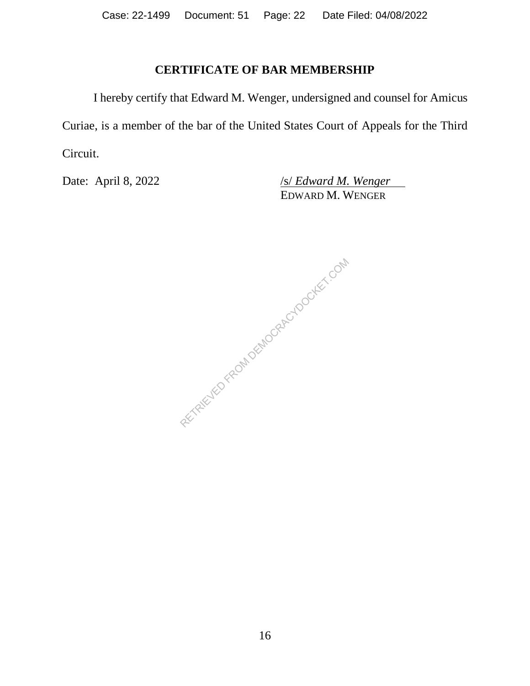### **CERTIFICATE OF BAR MEMBERSHIP**

I hereby certify that Edward M. Wenger, undersigned and counsel for Amicus Curiae, is a member of the bar of the United States Court of Appeals for the Third Circuit.

Date: April 8, 2022 */s/ <i>Edward M. Wenger* EDWARD M. WENGER

RETRIEVED FROM DEMOCRACYDOCKET.COM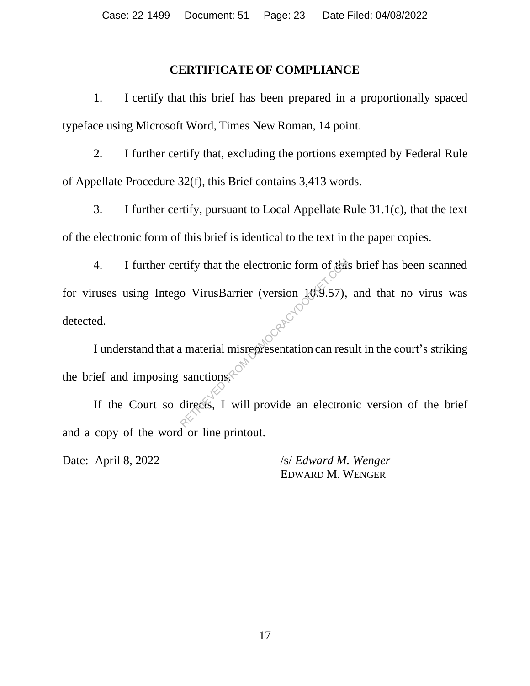### **CERTIFICATE OF COMPLIANCE**

1. I certify that this brief has been prepared in a proportionally spaced typeface using Microsoft Word, Times New Roman, 14 point.

2. I further certify that, excluding the portions exempted by Federal Rule of Appellate Procedure 32(f), this Brief contains 3,413 words.

3. I further certify, pursuant to Local Appellate Rule 31.1(c), that the text of the electronic form of this brief is identical to the text in the paper copies.

4. I further certify that the electronic form of this brief has been scanned for viruses using Intego VirusBarrier (version 10.9.57), and that no virus was detected. rtify that the electronic form of the<br>
composition (version 10.9.57),<br>
a material misrepresentation can restanctions.<br>
Sanctions.<br>
The will provide an electron

I understand that a material misrepresentation can result in the court's striking the brief and imposing sanctions.

If the Court so directs, I will provide an electronic version of the brief and a copy of the word or line printout.

Date: April 8, 2022 */s/ <i>Edward M. Wenger* EDWARD M. WENGER